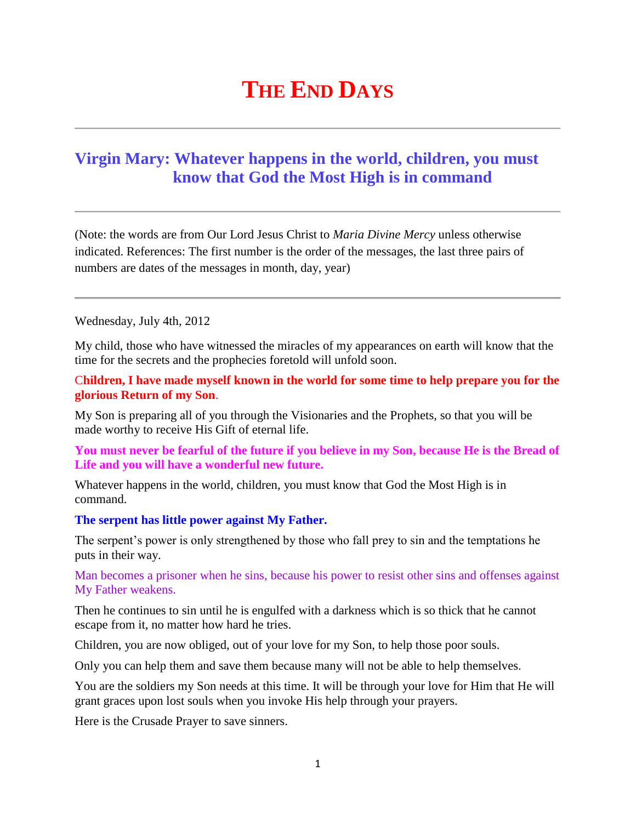## **THE END DAYS**

## **[Virgin Mary: Whatever happens in the world,](http://www.thewarningsecondcoming.com/virgin-mary-whatever-happens-in-the-world-children-you-must-know-that-god-the-most-high-is-in-command/) children, you must [know that God the Most High is in command](http://www.thewarningsecondcoming.com/virgin-mary-whatever-happens-in-the-world-children-you-must-know-that-god-the-most-high-is-in-command/)**

(Note: the words are from Our Lord Jesus Christ to *Maria Divine Mercy* unless otherwise indicated. References: The first number is the order of the messages, the last three pairs of numbers are dates of the messages in month, day, year)

Wednesday, July 4th, 2012

My child, those who have witnessed the miracles of my appearances on earth will know that the time for the secrets and the prophecies foretold will unfold soon.

C**hildren, I have made myself known in the world for some time to help prepare you for the glorious Return of my Son**.

My Son is preparing all of you through the Visionaries and the Prophets, so that you will be made worthy to receive His Gift of eternal life.

**You must never be fearful of the future if you believe in my Son, because He is the Bread of Life and you will have a wonderful new future.**

Whatever happens in the world, children, you must know that God the Most High is in command.

**The serpent has little power against My Father.**

The serpent's power is only strengthened by those who fall prey to sin and the temptations he puts in their way.

Man becomes a prisoner when he sins, because his power to resist other sins and offenses against My Father weakens.

Then he continues to sin until he is engulfed with a darkness which is so thick that he cannot escape from it, no matter how hard he tries.

Children, you are now obliged, out of your love for my Son, to help those poor souls.

Only you can help them and save them because many will not be able to help themselves.

You are the soldiers my Son needs at this time. It will be through your love for Him that He will grant graces upon lost souls when you invoke His help through your prayers.

Here is the Crusade Prayer to save sinners.